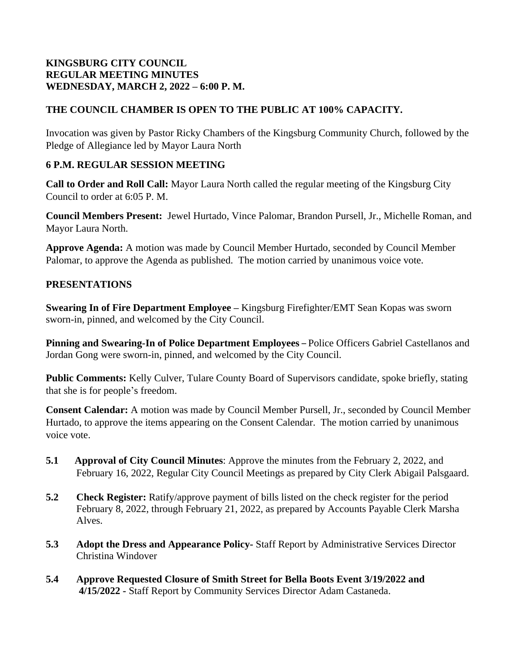### **KINGSBURG CITY COUNCIL REGULAR MEETING MINUTES WEDNESDAY, MARCH 2, 2022 – 6:00 P. M.**

# **THE COUNCIL CHAMBER IS OPEN TO THE PUBLIC AT 100% CAPACITY.**

Invocation was given by Pastor Ricky Chambers of the Kingsburg Community Church, followed by the Pledge of Allegiance led by Mayor Laura North

#### **6 P.M. REGULAR SESSION MEETING**

**Call to Order and Roll Call:** Mayor Laura North called the regular meeting of the Kingsburg City Council to order at 6:05 P. M.

**Council Members Present:** Jewel Hurtado, Vince Palomar, Brandon Pursell, Jr., Michelle Roman, and Mayor Laura North.

**Approve Agenda:** A motion was made by Council Member Hurtado, seconded by Council Member Palomar, to approve the Agenda as published. The motion carried by unanimous voice vote.

### **PRESENTATIONS**

**Swearing In of Fire Department Employee –** Kingsburg Firefighter/EMT Sean Kopas was sworn sworn-in, pinned, and welcomed by the City Council.

**Pinning and Swearing-In of Police Department Employees** *–* Police Officers Gabriel Castellanos and Jordan Gong were sworn-in, pinned, and welcomed by the City Council.

**Public Comments:** Kelly Culver, Tulare County Board of Supervisors candidate, spoke briefly, stating that she is for people's freedom.

**Consent Calendar:** A motion was made by Council Member Pursell, Jr., seconded by Council Member Hurtado, to approve the items appearing on the Consent Calendar. The motion carried by unanimous voice vote.

- **5.1 Approval of City Council Minutes**: Approve the minutes from the February 2, 2022, and February 16, 2022, Regular City Council Meetings as prepared by City Clerk Abigail Palsgaard.
- **5.2 Check Register:** Ratify/approve payment of bills listed on the check register for the period February 8, 2022, through February 21, 2022, as prepared by Accounts Payable Clerk Marsha Alves.
- **5.3 Adopt the Dress and Appearance Policy-** Staff Report by Administrative Services Director Christina Windover
- **5.4 Approve Requested Closure of Smith Street for Bella Boots Event 3/19/2022 and 4/15/2022 -** Staff Report by Community Services Director Adam Castaneda.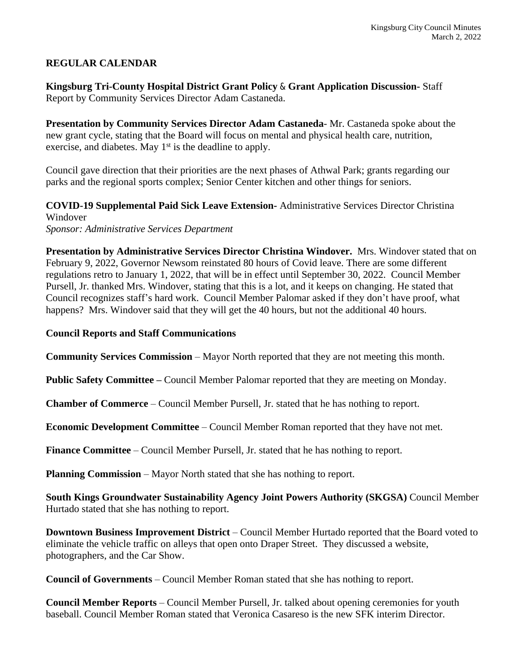# **REGULAR CALENDAR**

**Kingsburg Tri-County Hospital District Grant Policy** & **Grant Application Discussion-** Staff Report by Community Services Director Adam Castaneda.

**Presentation by Community Services Director Adam Castaneda**- Mr. Castaneda spoke about the new grant cycle, stating that the Board will focus on mental and physical health care, nutrition, exercise, and diabetes. May 1<sup>st</sup> is the deadline to apply.

Council gave direction that their priorities are the next phases of Athwal Park; grants regarding our parks and the regional sports complex; Senior Center kitchen and other things for seniors.

**COVID-19 Supplemental Paid Sick Leave Extension-** Administrative Services Director Christina Windover

*Sponsor: Administrative Services Department*

**Presentation by Administrative Services Director Christina Windover.** Mrs. Windover stated that on February 9, 2022, Governor Newsom reinstated 80 hours of Covid leave. There are some different regulations retro to January 1, 2022, that will be in effect until September 30, 2022. Council Member Pursell, Jr. thanked Mrs. Windover, stating that this is a lot, and it keeps on changing. He stated that Council recognizes staff's hard work. Council Member Palomar asked if they don't have proof, what happens? Mrs. Windover said that they will get the 40 hours, but not the additional 40 hours.

#### **Council Reports and Staff Communications**

**Community Services Commission** – Mayor North reported that they are not meeting this month.

**Public Safety Committee –** Council Member Palomar reported that they are meeting on Monday.

**Chamber of Commerce** – Council Member Pursell, Jr. stated that he has nothing to report.

**Economic Development Committee** – Council Member Roman reported that they have not met.

**Finance Committee** – Council Member Pursell, Jr. stated that he has nothing to report.

**Planning Commission** – Mayor North stated that she has nothing to report.

**South Kings Groundwater Sustainability Agency Joint Powers Authority (SKGSA)** Council Member Hurtado stated that she has nothing to report.

**Downtown Business Improvement District** – Council Member Hurtado reported that the Board voted to eliminate the vehicle traffic on alleys that open onto Draper Street. They discussed a website, photographers, and the Car Show.

**Council of Governments** – Council Member Roman stated that she has nothing to report.

**Council Member Reports** – Council Member Pursell, Jr. talked about opening ceremonies for youth baseball. Council Member Roman stated that Veronica Casareso is the new SFK interim Director.